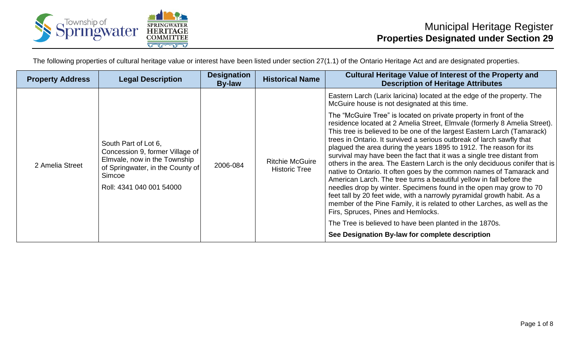

The following properties of cultural heritage value or interest have been listed under section 27(1.1) of the Ontario Heritage Act and are designated properties.

| <b>Property Address</b> | <b>Legal Description</b>                                                                                                                                          | <b>Designation</b><br><b>By-law</b> | <b>Historical Name</b>                         | <b>Cultural Heritage Value of Interest of the Property and</b><br><b>Description of Heritage Attributes</b>                                                                                                                                                                                                                                                                                                                                                                                                                                                                                                                                                                                                                                                                                                                                                                                                                                           |
|-------------------------|-------------------------------------------------------------------------------------------------------------------------------------------------------------------|-------------------------------------|------------------------------------------------|-------------------------------------------------------------------------------------------------------------------------------------------------------------------------------------------------------------------------------------------------------------------------------------------------------------------------------------------------------------------------------------------------------------------------------------------------------------------------------------------------------------------------------------------------------------------------------------------------------------------------------------------------------------------------------------------------------------------------------------------------------------------------------------------------------------------------------------------------------------------------------------------------------------------------------------------------------|
|                         |                                                                                                                                                                   |                                     |                                                | Eastern Larch (Larix laricina) located at the edge of the property. The<br>McGuire house is not designated at this time.                                                                                                                                                                                                                                                                                                                                                                                                                                                                                                                                                                                                                                                                                                                                                                                                                              |
| 2 Amelia Street         | South Part of Lot 6,<br>Concession 9, former Village of<br>Elmvale, now in the Township<br>of Springwater, in the County of<br>Simcoe<br>Roll: 4341 040 001 54000 | 2006-084                            | <b>Ritchie McGuire</b><br><b>Historic Tree</b> | The "McGuire Tree" is located on private property in front of the<br>residence located at 2 Amelia Street, Elmvale (formerly 8 Amelia Street).<br>This tree is believed to be one of the largest Eastern Larch (Tamarack)<br>trees in Ontario. It survived a serious outbreak of larch sawfly that<br>plagued the area during the years 1895 to 1912. The reason for its<br>survival may have been the fact that it was a single tree distant from<br>others in the area. The Eastern Larch is the only deciduous conifer that is<br>native to Ontario. It often goes by the common names of Tamarack and<br>American Larch. The tree turns a beautiful yellow in fall before the<br>needles drop by winter. Specimens found in the open may grow to 70<br>feet tall by 20 feet wide, with a narrowly pyramidal growth habit. As a<br>member of the Pine Family, it is related to other Larches, as well as the<br>Firs, Spruces, Pines and Hemlocks. |
|                         |                                                                                                                                                                   |                                     |                                                | The Tree is believed to have been planted in the 1870s.                                                                                                                                                                                                                                                                                                                                                                                                                                                                                                                                                                                                                                                                                                                                                                                                                                                                                               |
|                         |                                                                                                                                                                   |                                     |                                                | See Designation By-law for complete description                                                                                                                                                                                                                                                                                                                                                                                                                                                                                                                                                                                                                                                                                                                                                                                                                                                                                                       |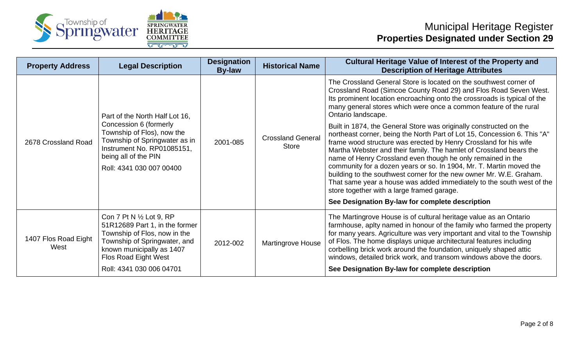



## Municipal Heritage Register **Properties Designated under Section 29**

| <b>Property Address</b>      | <b>Legal Description</b>                                                                                                                                                                                    | <b>Designation</b><br><b>By-law</b> | <b>Historical Name</b>                   | <b>Cultural Heritage Value of Interest of the Property and</b><br><b>Description of Heritage Attributes</b>                                                                                                                                                                                                                                                                                                                                                                                                                                                                                                                  |
|------------------------------|-------------------------------------------------------------------------------------------------------------------------------------------------------------------------------------------------------------|-------------------------------------|------------------------------------------|------------------------------------------------------------------------------------------------------------------------------------------------------------------------------------------------------------------------------------------------------------------------------------------------------------------------------------------------------------------------------------------------------------------------------------------------------------------------------------------------------------------------------------------------------------------------------------------------------------------------------|
| 2678 Crossland Road          | Part of the North Half Lot 16,<br>Concession 6 (formerly<br>Township of Flos), now the<br>Township of Springwater as in<br>Instrument No. RP01085151,<br>being all of the PIN<br>Roll: 4341 030 007 00400   | 2001-085                            | <b>Crossland General</b><br><b>Store</b> | The Crossland General Store is located on the southwest corner of<br>Crossland Road (Simcoe County Road 29) and Flos Road Seven West.<br>Its prominent location encroaching onto the crossroads is typical of the<br>many general stores which were once a common feature of the rural<br>Ontario landscape.                                                                                                                                                                                                                                                                                                                 |
|                              |                                                                                                                                                                                                             |                                     |                                          | Built in 1874, the General Store was originally constructed on the<br>northeast corner, being the North Part of Lot 15, Concession 6. This "A"<br>frame wood structure was erected by Henry Crossland for his wife<br>Martha Webster and their family. The hamlet of Crossland bears the<br>name of Henry Crossland even though he only remained in the<br>community for a dozen years or so. In 1904, Mr. T. Martin moved the<br>building to the southwest corner for the new owner Mr. W.E. Graham.<br>That same year a house was added immediately to the south west of the<br>store together with a large framed garage. |
|                              |                                                                                                                                                                                                             |                                     |                                          | See Designation By-law for complete description                                                                                                                                                                                                                                                                                                                                                                                                                                                                                                                                                                              |
| 1407 Flos Road Eight<br>West | Con 7 Pt N 1/2 Lot 9, RP<br>51R12689 Part 1, in the former<br>Township of Flos, now in the<br>Township of Springwater, and<br>known municipally as 1407<br>Flos Road Eight West<br>Roll: 4341 030 006 04701 | 2012-002                            | <b>Martingrove House</b>                 | The Martingrove House is of cultural heritage value as an Ontario<br>farmhouse, apity named in honour of the family who farmed the property<br>for many years. Agriculture was very important and vital to the Township<br>of Flos. The home displays unique architectural features including<br>corbelling brick work around the foundation, uniquely shaped attic<br>windows, detailed brick work, and transom windows above the doors.<br>See Designation By-law for complete description                                                                                                                                 |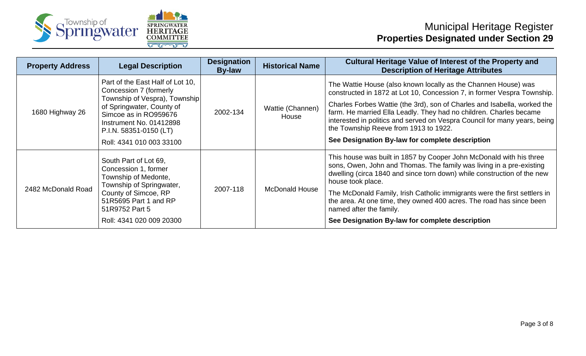



| <b>Property Address</b> | <b>Legal Description</b>                                                                                                                                                                               | <b>Designation</b><br><b>By-law</b>  | <b>Historical Name</b>    | <b>Cultural Heritage Value of Interest of the Property and</b><br><b>Description of Heritage Attributes</b>                                                                                                                                                          |
|-------------------------|--------------------------------------------------------------------------------------------------------------------------------------------------------------------------------------------------------|--------------------------------------|---------------------------|----------------------------------------------------------------------------------------------------------------------------------------------------------------------------------------------------------------------------------------------------------------------|
| 1680 Highway 26         | Part of the East Half of Lot 10,<br>Concession 7 (formerly<br>Township of Vespra), Township<br>of Springwater, County of<br>Simcoe as in RO959676<br>Instrument No. 01412898<br>P.I.N. 58351-0150 (LT) | 2002-134                             | Wattie (Channen)<br>House | The Wattie House (also known locally as the Channen House) was<br>constructed in 1872 at Lot 10, Concession 7, in former Vespra Township.                                                                                                                            |
|                         |                                                                                                                                                                                                        |                                      |                           | Charles Forbes Wattie (the 3rd), son of Charles and Isabella, worked the<br>farm. He married Ella Leadly. They had no children. Charles became<br>interested in politics and served on Vespra Council for many years, being<br>the Township Reeve from 1913 to 1922. |
|                         | Roll: 4341 010 003 33100                                                                                                                                                                               |                                      |                           | See Designation By-law for complete description                                                                                                                                                                                                                      |
| 2482 McDonald Road      | South Part of Lot 69,<br>Concession 1, former<br>Township of Medonte,                                                                                                                                  | Township of Springwater,<br>2007-118 | <b>McDonald House</b>     | This house was built in 1857 by Cooper John McDonald with his three<br>sons, Owen, John and Thomas. The family was living in a pre-existing<br>dwelling (circa 1840 and since torn down) while construction of the new<br>house took place.                          |
|                         | County of Simcoe, RP<br>51R5695 Part 1 and RP<br>51R9752 Part 5                                                                                                                                        |                                      |                           | The McDonald Family, Irish Catholic immigrants were the first settlers in<br>the area. At one time, they owned 400 acres. The road has since been<br>named after the family.                                                                                         |
|                         | Roll: 4341 020 009 20300                                                                                                                                                                               |                                      |                           | See Designation By-law for complete description                                                                                                                                                                                                                      |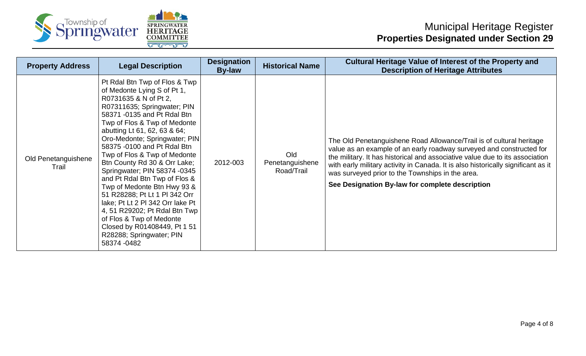



## Municipal Heritage Register **Properties Designated under Section 29**

| <b>Property Address</b>      | <b>Legal Description</b>                                                                                                                                                                                                                                                                                                                                                                                                                                                                                                                                                                                                                                         | <b>Designation</b><br><b>By-law</b> | <b>Historical Name</b>               | <b>Cultural Heritage Value of Interest of the Property and</b><br><b>Description of Heritage Attributes</b>                                                                                                                                                                                                                                                                                                              |
|------------------------------|------------------------------------------------------------------------------------------------------------------------------------------------------------------------------------------------------------------------------------------------------------------------------------------------------------------------------------------------------------------------------------------------------------------------------------------------------------------------------------------------------------------------------------------------------------------------------------------------------------------------------------------------------------------|-------------------------------------|--------------------------------------|--------------------------------------------------------------------------------------------------------------------------------------------------------------------------------------------------------------------------------------------------------------------------------------------------------------------------------------------------------------------------------------------------------------------------|
| Old Penetanguishene<br>Trail | Pt Rdal Btn Twp of Flos & Twp<br>of Medonte Lying S of Pt 1,<br>R0731635 & N of Pt 2,<br>R07311635; Springwater; PIN<br>58371 -0135 and Pt Rdal Btn<br>Twp of Flos & Twp of Medonte<br>abutting Lt 61, 62, 63 & 64;<br>Oro-Medonte; Springwater; PIN<br>58375 -0100 and Pt Rdal Btn<br>Twp of Flos & Twp of Medonte<br>Btn County Rd 30 & Orr Lake;<br>Springwater; PIN 58374 -0345<br>and Pt Rdal Btn Twp of Flos &<br>Twp of Medonte Btn Hwy 93 &<br>51 R28288; Pt Lt 1 PI 342 Orr<br>lake; Pt Lt 2 PI 342 Orr lake Pt<br>4, 51 R29202; Pt Rdal Btn Twp<br>of Flos & Twp of Medonte<br>Closed by R01408449, Pt 1 51<br>R28288; Springwater; PIN<br>58374 -0482 | 2012-003                            | Old<br>Penetanguishene<br>Road/Trail | The Old Penetanguishene Road Allowance/Trail is of cultural heritage<br>value as an example of an early roadway surveyed and constructed for<br>the military. It has historical and associative value due to its association<br>with early military activity in Canada. It is also historically significant as it<br>was surveyed prior to the Townships in the area.<br>See Designation By-law for complete description |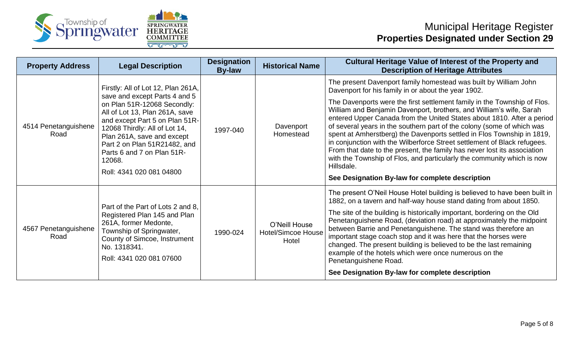



| <b>Property Address</b>      | <b>Legal Description</b>                                                                                                                                                                                                                                                                            | <b>Designation</b><br><b>By-law</b> | <b>Historical Name</b>                              | <b>Cultural Heritage Value of Interest of the Property and</b><br><b>Description of Heritage Attributes</b>                                                                                                                                                                                                                                                                                                                                                                                                                                                                                                                                                                      |
|------------------------------|-----------------------------------------------------------------------------------------------------------------------------------------------------------------------------------------------------------------------------------------------------------------------------------------------------|-------------------------------------|-----------------------------------------------------|----------------------------------------------------------------------------------------------------------------------------------------------------------------------------------------------------------------------------------------------------------------------------------------------------------------------------------------------------------------------------------------------------------------------------------------------------------------------------------------------------------------------------------------------------------------------------------------------------------------------------------------------------------------------------------|
|                              | Firstly: All of Lot 12, Plan 261A,                                                                                                                                                                                                                                                                  |                                     |                                                     | The present Davenport family homestead was built by William John<br>Davenport for his family in or about the year 1902.                                                                                                                                                                                                                                                                                                                                                                                                                                                                                                                                                          |
| 4514 Penetanguishene<br>Road | save and except Parts 4 and 5<br>on Plan 51R-12068 Secondly:<br>All of Lot 13, Plan 261A, save<br>and except Part 5 on Plan 51R-<br>12068 Thirdly: All of Lot 14,<br>Plan 261A, save and except<br>Part 2 on Plan 51R21482, and<br>Parts 6 and 7 on Plan 51R-<br>12068.<br>Roll: 4341 020 081 04800 | 1997-040                            | Davenport<br>Homestead                              | The Davenports were the first settlement family in the Township of Flos.<br>William and Benjamin Davenport, brothers, and William's wife, Sarah<br>entered Upper Canada from the United States about 1810. After a period<br>of several years in the southern part of the colony (some of which was<br>spent at Amherstberg) the Davenports settled in Flos Township in 1819,<br>in conjunction with the Wilberforce Street settlement of Black refugees.<br>From that date to the present, the family has never lost its association<br>with the Township of Flos, and particularly the community which is now<br>Hillsdale.<br>See Designation By-law for complete description |
| 4567 Penetanguishene<br>Road | Part of the Part of Lots 2 and 8,<br>Registered Plan 145 and Plan<br>261A, former Medonte,<br>Township of Springwater,<br>County of Simcoe, Instrument<br>No. 1318341.<br>Roll: 4341 020 081 07600                                                                                                  |                                     | O'Neill House<br><b>Hotel/Simcoe House</b><br>Hotel | The present O'Neil House Hotel building is believed to have been built in<br>1882, on a tavern and half-way house stand dating from about 1850.                                                                                                                                                                                                                                                                                                                                                                                                                                                                                                                                  |
|                              |                                                                                                                                                                                                                                                                                                     | 1990-024                            |                                                     | The site of the building is historically important, bordering on the Old<br>Penetanguishene Road, (deviation road) at approximately the midpoint<br>between Barrie and Penetanguishene. The stand was therefore an<br>important stage coach stop and it was here that the horses were<br>changed. The present building is believed to be the last remaining<br>example of the hotels which were once numerous on the<br>Penetanguishene Road.                                                                                                                                                                                                                                    |
|                              |                                                                                                                                                                                                                                                                                                     |                                     |                                                     | See Designation By-law for complete description                                                                                                                                                                                                                                                                                                                                                                                                                                                                                                                                                                                                                                  |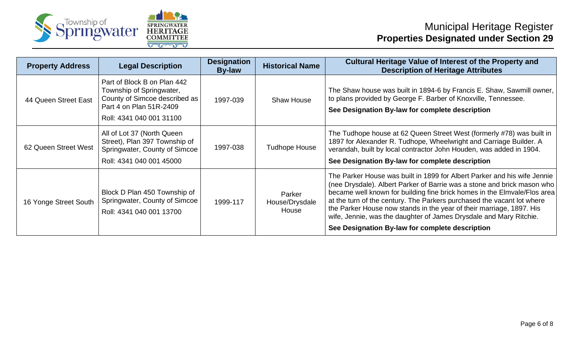



| <b>Property Address</b> | <b>Legal Description</b>                                                                                                                        | <b>Designation</b><br><b>By-law</b> | <b>Historical Name</b>            | <b>Cultural Heritage Value of Interest of the Property and</b><br><b>Description of Heritage Attributes</b>                                                                                                                                                                                                                                                                                                                                                                                                |
|-------------------------|-------------------------------------------------------------------------------------------------------------------------------------------------|-------------------------------------|-----------------------------------|------------------------------------------------------------------------------------------------------------------------------------------------------------------------------------------------------------------------------------------------------------------------------------------------------------------------------------------------------------------------------------------------------------------------------------------------------------------------------------------------------------|
| 44 Queen Street East    | Part of Block B on Plan 442<br>Township of Springwater,<br>County of Simcoe described as<br>Part 4 on Plan 51R-2409<br>Roll: 4341 040 001 31100 | 1997-039                            | <b>Shaw House</b>                 | The Shaw house was built in 1894-6 by Francis E. Shaw, Sawmill owner,<br>to plans provided by George F. Barber of Knoxville, Tennessee.<br>See Designation By-law for complete description                                                                                                                                                                                                                                                                                                                 |
| 62 Queen Street West    | All of Lot 37 (North Queen<br>Street), Plan 397 Township of<br>Springwater, County of Simcoe<br>Roll: 4341 040 001 45000                        | 1997-038                            | <b>Tudhope House</b>              | The Tudhope house at 62 Queen Street West (formerly #78) was built in<br>1897 for Alexander R. Tudhope, Wheelwright and Carriage Builder. A<br>verandah, built by local contractor John Houden, was added in 1904.<br>See Designation By-law for complete description                                                                                                                                                                                                                                      |
| 16 Yonge Street South   | Block D Plan 450 Township of<br>Springwater, County of Simcoe<br>Roll: 4341 040 001 13700                                                       | 1999-117                            | Parker<br>House/Drysdale<br>House | The Parker House was built in 1899 for Albert Parker and his wife Jennie<br>(nee Drysdale). Albert Parker of Barrie was a stone and brick mason who<br>became well known for building fine brick homes in the Elmvale/Flos area<br>at the turn of the century. The Parkers purchased the vacant lot where<br>the Parker House now stands in the year of their marriage, 1897. His<br>wife, Jennie, was the daughter of James Drysdale and Mary Ritchie.<br>See Designation By-law for complete description |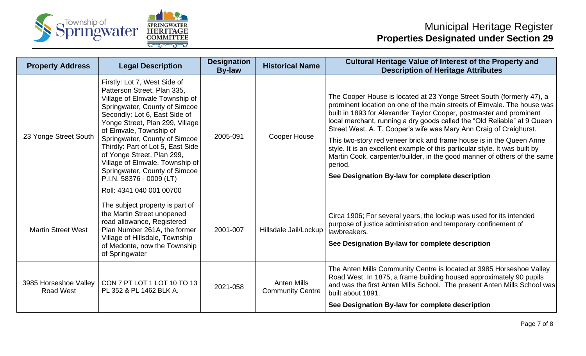



| <b>Property Address</b>                   | <b>Legal Description</b>                                                                                                                                                                                                                                                                                                                                                                                                                                      | <b>Designation</b><br><b>By-law</b> | <b>Historical Name</b>                        | <b>Cultural Heritage Value of Interest of the Property and</b><br><b>Description of Heritage Attributes</b>                                                                                                                                                                                                                                                                                                                                                                                                                                                                                                                                                                |
|-------------------------------------------|---------------------------------------------------------------------------------------------------------------------------------------------------------------------------------------------------------------------------------------------------------------------------------------------------------------------------------------------------------------------------------------------------------------------------------------------------------------|-------------------------------------|-----------------------------------------------|----------------------------------------------------------------------------------------------------------------------------------------------------------------------------------------------------------------------------------------------------------------------------------------------------------------------------------------------------------------------------------------------------------------------------------------------------------------------------------------------------------------------------------------------------------------------------------------------------------------------------------------------------------------------------|
| 23 Yonge Street South                     | Firstly: Lot 7, West Side of<br>Patterson Street, Plan 335,<br>Village of Elmvale Township of<br>Springwater, County of Simcoe<br>Secondly: Lot 6, East Side of<br>Yonge Street, Plan 299, Village<br>of Elmvale, Township of<br>Springwater, County of Simcoe<br>Thirdly: Part of Lot 5, East Side<br>of Yonge Street, Plan 299,<br>Village of Elmvale, Township of<br>Springwater, County of Simcoe<br>P.I.N. 58376 - 0009 (LT)<br>Roll: 4341 040 001 00700 | 2005-091                            | Cooper House                                  | The Cooper House is located at 23 Yonge Street South (formerly 47), a<br>prominent location on one of the main streets of Elmvale. The house was<br>built in 1893 for Alexander Taylor Cooper, postmaster and prominent<br>local merchant, running a dry goods called the "Old Reliable" at 9 Queen<br>Street West. A. T. Cooper's wife was Mary Ann Craig of Craighurst.<br>This two-story red veneer brick and frame house is in the Queen Anne<br>style. It is an excellent example of this particular style. It was built by<br>Martin Cook, carpenter/builder, in the good manner of others of the same<br>period.<br>See Designation By-law for complete description |
| <b>Martin Street West</b>                 | The subject property is part of<br>the Martin Street unopened<br>road allowance, Registered<br>Plan Number 261A, the former<br>Village of Hillsdale, Township<br>of Medonte, now the Township<br>of Springwater                                                                                                                                                                                                                                               | 2001-007                            | Hillsdale Jail/Lockup                         | Circa 1906; For several years, the lockup was used for its intended<br>purpose of justice administration and temporary confinement of<br>lawbreakers.<br>See Designation By-law for complete description                                                                                                                                                                                                                                                                                                                                                                                                                                                                   |
| 3985 Horseshoe Valley<br><b>Road West</b> | CON 7 PT LOT 1 LOT 10 TO 13<br>PL 352 & PL 1462 BLK A.                                                                                                                                                                                                                                                                                                                                                                                                        | 2021-058                            | <b>Anten Mills</b><br><b>Community Centre</b> | The Anten Mills Community Centre is located at 3985 Horseshoe Valley<br>Road West. In 1875, a frame building housed approximately 90 pupils<br>and was the first Anten Mills School. The present Anten Mills School was<br>built about 1891.<br>See Designation By-law for complete description                                                                                                                                                                                                                                                                                                                                                                            |